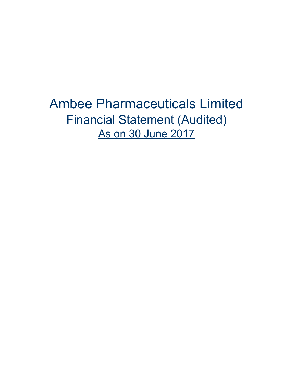Ambee Pharmaceuticals Limited Financial Statement (Audited) As on 30 June 2017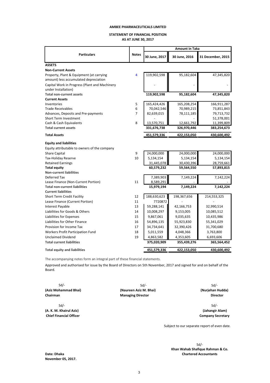# **STATEMENT OF FINANCIAL POSITION**

**AS AT JUNE 30, 2017**

|                                                                                   |                |               | <b>Amount in Taka</b> |                   |  |  |  |
|-----------------------------------------------------------------------------------|----------------|---------------|-----------------------|-------------------|--|--|--|
| <b>Particulars</b>                                                                | <b>Notes</b>   | 30 June, 2017 | 30 June, 2016         | 31 December, 2015 |  |  |  |
| <b>ASSETS</b>                                                                     |                |               |                       |                   |  |  |  |
| <b>Non-Current Assets</b>                                                         |                |               |                       |                   |  |  |  |
| Property, Plant & Equipment (at carrying<br>amount) less accumulated depreciation | $\overline{4}$ | 119,902,598   | 95,182,604            | 47,345,820        |  |  |  |
| Capital Work in Progress (Plant and Machinery<br>under Installation)              |                |               |                       |                   |  |  |  |
| <b>Total non-current assets</b>                                                   |                | 119,902,598   | 95,182,604            | 47,345,820        |  |  |  |
| <b>Current Assets</b>                                                             |                |               |                       |                   |  |  |  |
| Inventories                                                                       | 5              | 165,424,426   | 165,208,254           | 166,911,287       |  |  |  |
| <b>Trade Receivables</b>                                                          | 6              | 70,042,546    | 70,989,215            | 73,851,843        |  |  |  |
| Advances, Deposits and Pre-payments                                               | $\overline{7}$ | 82,639,015    | 78,111,185            | 79,713,732        |  |  |  |
| Short Term Investment                                                             |                |               |                       | 51,378,001        |  |  |  |
| Cash & Cash Equivalents                                                           | 8              | 13,570,751    | 12,661,792            | 11,399,809        |  |  |  |
| <b>Total current assets</b>                                                       |                | 331,676,738   | 326,970,446           | 383,254,673       |  |  |  |
| <b>Total Assets</b>                                                               |                | 451,579,336   | 422,153,050           | 430,600,492       |  |  |  |
| <b>Equity and liabilities</b>                                                     |                |               |                       |                   |  |  |  |
| Equity attributable to owners of the company                                      |                |               |                       |                   |  |  |  |
| <b>Share Capital</b>                                                              | 9              | 24,000,000    | 24,000,000            | 24,000,000        |  |  |  |
| <b>Tax-Holiday Reserve</b>                                                        | 10             | 5,134,154     | 5,134,154             | 5,134,154         |  |  |  |
| <b>Retained Earnings</b>                                                          |                | 31,445,078    | 30,430,396            | 28,759,661        |  |  |  |
| <b>Total equity</b>                                                               |                | 60,579,232    | 59,564,550            | 57,893,815        |  |  |  |
| <b>Non-current liabilities</b>                                                    |                |               |                       |                   |  |  |  |
| Deferred Tax                                                                      |                | 7,389,903     | 7,149,224             | 7,142,224         |  |  |  |
| Lease Finance (Non-Current Portion)                                               | 11             | 8,589,291     |                       |                   |  |  |  |
| <b>Total non-current liabilities</b>                                              |                | 15,979,194    | 7,149,224             | 7,142,224         |  |  |  |
| <b>Current liabilities</b>                                                        |                |               |                       |                   |  |  |  |
| Short Term Credit Facility                                                        | 12             | 188,630,623   | 198,367,656           | 214,553,325       |  |  |  |
| Lease Finance (Current Portion)                                                   | 11             | 7720872       |                       |                   |  |  |  |
| Interest Payable                                                                  | 13             | 59,288,141    | 42,166,753            | 32,990,514        |  |  |  |
| Liabilities for Goods & Others                                                    | 14             | 10,008,297    | 9,153,005             | 10,085,512        |  |  |  |
| Liabilities for Expenses                                                          | 15             | 9,867,061     | 9,035,635             | 10,435,986        |  |  |  |
| Liabilities for Other Finance                                                     | 16             | 54,896,135    | 55,923,830            | 55,341,029        |  |  |  |
| Provision for Income Tax                                                          | 17             | 34,734,641    | 32,390,426            | 31,700,680        |  |  |  |
| Workers Profit Participation Fund                                                 | 18             | 5,011,559     | 4,048,366             | 3,763,800         |  |  |  |
| <b>Unclaimed Dividend</b>                                                         | 19             | 4,863,582     | 4,353,605             | 6,693,606         |  |  |  |
| <b>Total current liabilities</b>                                                  |                | 375,020,909   | 355,439,276           | 365,564,452       |  |  |  |
| <b>Total equity and liabilities</b>                                               |                | 451,579,336   | 422,153,050           | 430,600,492       |  |  |  |

The accompanying notes form an integral part of these financial statements.

Approved and authorised for issue by the Board of Directors on 5th November, 2017 and signed for and on behalf of the Board.

Sd/- Sd/- **(A. K. M. Khairul Aziz) (Jahangir Alam)** 

Sd/- Sd/- Sd/- **(Aziz Mohammad Bhai) (Nurjehan Hudda) (Naureen Aziz M. Bhai) Chairman Director Chairman** *Director* **Director Director Director Director** 

**Chief Financial Officer Company Secretary Company Secretary** 

Subject to our separate report of even date.

 Sd/-  **Khan Wahab Shafique Rahman & Co. Date: Dhaka Chartered Accountants** 

**November 05, 2017.**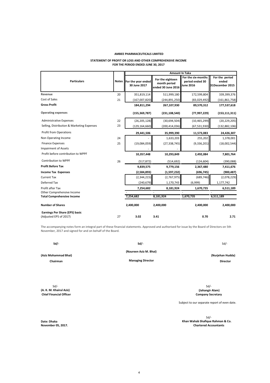# **STATEMENT OF PROFIT OR LOSS AND OTHER COMPREHENSIVE INCOME**

### **FOR THE PERIOD ENDED JUNE 30, 2017**

|                                                |    |                                            | <b>Amount In Taka</b>                                  |                                                           |                                            |
|------------------------------------------------|----|--------------------------------------------|--------------------------------------------------------|-----------------------------------------------------------|--------------------------------------------|
| <b>Particulars</b>                             |    | Notes   For the year ended<br>30 June 2017 | For the eighteen<br>month period<br>ended 30 June 2016 | For the six-months<br>period ended 30<br><b>June 2016</b> | For the period<br>ended<br>31December 2015 |
| Revenue                                        | 20 | 351,819,114                                | 511,999,180                                            | 172,599,804                                               | 339,399,376                                |
| Cost of Sales                                  | 21 | (167,007,820)                              | (244, 891, 250)                                        | (83,029,492)                                              | (161, 861, 758)                            |
| <b>Gross Profit</b>                            |    | 184,811,294                                | 267,107,930                                            | 89,570,312                                                | 177,537,618                                |
| <b>Operating expenses</b>                      |    | (155, 369, 787)                            | (231, 108, 540)                                        | (77, 997, 229)                                            | (153, 111, 311)                            |
| <b>Administrative Expenses</b>                 | 22 | (26, 205, 128)                             | (30,694,504)                                           | (10, 465, 299)                                            | (20, 229, 205)                             |
| Selling, Distribution & Marketing Expenses     | 23 | (129, 164, 660)                            | (200, 414, 036)                                        | (67, 531, 930)                                            | (132,882,106)                              |
| <b>Profit from Operations</b>                  |    | 29,441,506                                 | 35,999,390                                             | 11,573,083                                                | 24,426,307                                 |
| Non Operating Income                           | 24 |                                            | 1,633,203                                              | 255,202                                                   | 1,378,001                                  |
| <b>Finance Expenses</b>                        | 25 | (19,084,059)                               | (27, 338, 745)                                         | (9,336,201)                                               | (18,002,544)                               |
| <b>Impairment of Assets</b>                    |    |                                            |                                                        |                                                           |                                            |
| Profit before contribution to WPPF             |    | 10,357,448                                 | 10,293,849                                             | 2,492,084                                                 | 7,801,764                                  |
| <b>Contribution to WPPF</b>                    | 26 | (517, 872)                                 | (514, 692)                                             | (124, 604)                                                | (390,088)                                  |
| <b>Profit Before Tax</b>                       |    | 9,839,575                                  | 9,779,156                                              | 2,367,480                                                 | 7,411,676                                  |
| <b>Income Tax Expenses</b>                     |    | (2,584,893)                                | (1,597,232)                                            | (696, 745)                                                | (900, 487)                                 |
| <b>Current Tax</b>                             |    | (2,344,215)                                | (2,767,975)                                            | (689, 746)                                                | (2,078,229)                                |
| Deferred Tax                                   |    | (240, 679)                                 | 1,170,743                                              | (6,999)                                                   | 1,177,742                                  |
| Profit after Tax<br>Other Comprehensive Income |    | 7,254,682                                  | 8,181,924                                              | 1,670,735                                                 | 6,511,189                                  |
| <b>Total Comprehensive Income</b>              |    | 7,254,682                                  | 8,181,924                                              | 1,670,735                                                 | 6,511,189                                  |
| <b>Number of Shares</b>                        |    | 2,400,000                                  | 2,400,000                                              | 2,400,000                                                 | 2,400,000                                  |
| <b>Earnings Per Share (EPS) basic</b>          |    |                                            |                                                        |                                                           |                                            |
| (Adjusted EPS of 2017)                         | 27 | 3.02                                       | 3.41                                                   | 0.70                                                      | 2.71                                       |

The accompanying notes form an integral part of these financial statements. Approved and authorised for issue by the Board of Directors on 5th November, 2017 and signed for and on behalf of the Board.

| Sd/- | Sd/-                   | Sd |
|------|------------------------|----|
|      | (Naureen Aziz M. Bhai) |    |

**(Aziz Mohammad Bhai)**

**Chairman Managing Director Director**

**(Nurjehan Hudda)**

Sd/- Sd/- **(A. K. M. Khairul Aziz) (Jahangir Alam) Chief Financial Officer Company Secretary** 

Subject to our separate report of even date.

Sd/- **Date: Dhaka Khan Wahab Shafique Rahman & Co. Chartered Accountants**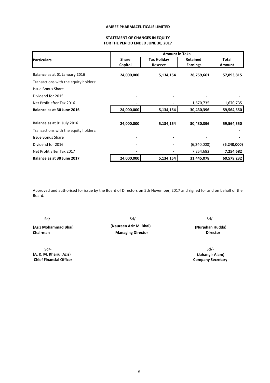# **STATEMENT OF CHANGES IN EQUITY FOR THE PERIOD ENDED JUNE 30, 2017**

|                                       |              | <b>Amount in Taka</b> |                 |               |
|---------------------------------------|--------------|-----------------------|-----------------|---------------|
| <b>IParticulars</b>                   | <b>Share</b> | <b>Tax Holiday</b>    | Retained        | <b>Total</b>  |
|                                       | Capital      | Reserve               | <b>Earnings</b> | Amount        |
| Balance as at 01 January 2016         | 24,000,000   | 5,134,154             | 28,759,661      | 57,893,815    |
| Transactions with the equity holders: |              |                       |                 |               |
| <b>Issue Bonus Share</b>              |              |                       |                 |               |
| Dividend for 2015                     |              |                       |                 |               |
| Net Profit after Tax 2016             |              |                       | 1,670,735       | 1,670,735     |
| Balance as at 30 June 2016            | 24,000,000   | 5,134,154             | 30,430,396      | 59,564,550    |
|                                       |              |                       |                 |               |
| Balance as at 01 July 2016            | 24,000,000   | 5,134,154             | 30,430,396      | 59,564,550    |
| Transactions with the equity holders: |              |                       |                 |               |
| <b>Issue Bonus Share</b>              |              |                       |                 |               |
| Dividend for 2016                     |              |                       | (6, 240, 000)   | (6, 240, 000) |
| Net Profit after Tax 2017             |              |                       | 7,254,682       | 7,254,682     |
| Balance as at 30 June 2017            | 24,000,000   | 5,134,154             | 31,445,078      | 60,579,232    |

Approved and authorised for issue by the Board of Directors on 5th November, 2017 and signed for and on behalf of the Board.

Sd/- Sd/- **(A. K. M. Khairul Aziz) (Jahangir Alam)** 

Sd/- Sd/- Sd/- **(Aziz Mohammad Bhai) (Naureen Aziz M. Bhai) (Nurjehan Hudda) Managing Director** 

 **Company Secretary**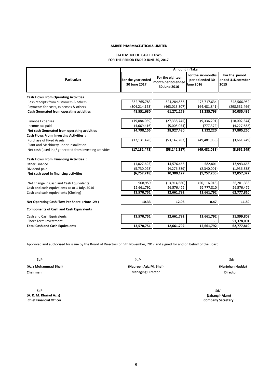# **STATEMENT OF CASH FLOWS FOR THE PERIOD ENDED JUNE 30, 2017**

|                                                          | <b>Amount in Taka</b>              |                                                        |                                                    |                                            |  |  |  |
|----------------------------------------------------------|------------------------------------|--------------------------------------------------------|----------------------------------------------------|--------------------------------------------|--|--|--|
| <b>Particulars</b>                                       | For the year ended<br>30 June 2017 | For the eighteen<br>month period ended<br>30 June 2016 | For the six-months<br>period ended 30<br>Uune 2016 | For the period<br>ended 31December<br>2015 |  |  |  |
| <b>Cash Flows From Operating Activities :</b>            |                                    |                                                        |                                                    |                                            |  |  |  |
| Cash receipts from customers & others                    | 352,765,783                        | 524,284,586                                            | 175,717,634                                        | 348,566,952                                |  |  |  |
| Payments for costs, expenses & others                    | (304, 214, 153)                    | (463, 013, 307)                                        | (164, 481, 841)                                    | (298, 531, 466)                            |  |  |  |
| <b>Cash Generated from operating activities</b>          | 48,551,630                         | 61,271,279                                             | 11,235,793                                         | 50,035,486                                 |  |  |  |
| <b>Finance Expenses</b>                                  | (19,084,059)                       | (27, 338, 745)                                         | (9, 336, 201)                                      | (18,002,544)                               |  |  |  |
| Income tax paid                                          | (4,669,416)                        | (5,005,054)                                            | (777, 372)                                         | (4,227,682)                                |  |  |  |
| Net cash Generated from operating activities             | 24,798,155                         | 28,927,480                                             | 1,122,220                                          | 27,805,260                                 |  |  |  |
| <b>Cash Flows From Investing Activities:</b>             |                                    |                                                        |                                                    |                                            |  |  |  |
| Purchase of Fixed Assets                                 | (17, 131, 478)                     | (53, 142, 287)                                         | (49, 481, 038)                                     | (3,661,249)                                |  |  |  |
| Plant and Machinery under Installation                   |                                    |                                                        |                                                    |                                            |  |  |  |
| Net cash (used in) / generated from investing activities | (17, 131, 478)                     | (53, 142, 287)                                         | (49, 481, 038)                                     | (3,661,249)                                |  |  |  |
| <b>Cash Flows From Financing Activities:</b>             |                                    |                                                        |                                                    |                                            |  |  |  |
| <b>Other Finance</b>                                     | (1,027,695)                        | 14,576,466                                             | 582,801                                            | 13,993,665                                 |  |  |  |
| Dividend paid                                            | (5,730,023)                        | (4, 276, 339)                                          | (2,340,001)                                        | (1,936,338)                                |  |  |  |
| Net cash used in financing activities                    | (6,757,718)                        | 10,300,127                                             | (1,757,200)                                        | 12,057,327                                 |  |  |  |
| Net change in Cash and Cash Equivalents                  | 908,959                            | (13,914,680)                                           | (50, 116, 018)                                     | 36,201,338                                 |  |  |  |
| Cash and cash equivalents as at 1 July, 2016             | 12,661,792                         | 26,576,472                                             | 62,777,810                                         | 26,576,472                                 |  |  |  |
| Cash and cash equivalents (Closing)                      | 13,570,751                         | 12,661,792                                             | 12,661,792                                         | 62,777,810                                 |  |  |  |
| Net Operating Cash Flow Per Share (Note -29)             | 10.33                              | 12.06                                                  | 0.47                                               | 11.59                                      |  |  |  |
| <b>Components of Cash and Cash Equivalents</b>           |                                    |                                                        |                                                    |                                            |  |  |  |
| Cash and Cash Equivalents                                | 13,570,751                         | 12,661,792                                             | 12,661,792                                         | 11,399,809                                 |  |  |  |
| Short Term Investment                                    |                                    |                                                        |                                                    | 51,378,001                                 |  |  |  |
| <b>Total Cash and Cash Equivalents</b>                   | 13,570,751                         | 12,661,792                                             | 12,661,792                                         | 62,777,810                                 |  |  |  |

Approved and authorised for issue by the Board of Directors on 5th November, 2017 and signed for and on behalf of the Board.

**Chairman Director Director Director Director Director Director Director** 

Sd/- Sd/- **(A. K. M. Khairul Aziz) (Jahangir Alam) Chief Financial Officer Company Secretary**  Company Secretary **Company Secretary Company Secretary Company Secretary** 

**(Aziz Mohammad Bhai) (Naureen Aziz M. Bhai) (Nurjehan Hudda)**

Sd/- Sd/- Sd/-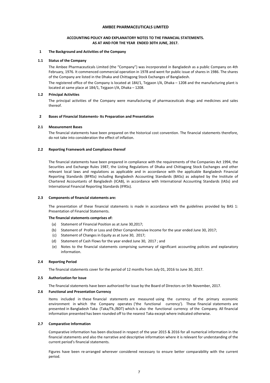# **ACCOUNTING POLICY AND EXPLANATORY NOTES TO THE FINANCIAL STATEMENTS. AS AT AND FOR THE YEAR ENDED 30TH JUNE, 2017.**

# **1 The Background and Activities of the Company**

# **1.1 Status of the Company**

The Ambee Pharmaceuticals Limited (the "Company") was incorporated in Bangladesh as a public Company on 4th February, 1976. It commenced commercial operation in 1978 and went for public issue of shares in 1986. The shares of the Company are listed in the Dhaka and Chittagong Stock Exchanges of Bangladesh.

The registered office of the Company is located at 184/1, Tejgaon I/A, Dhaka – 1208 and the manufacturing plant is located at same place at 184/1, Tejgaon I/A, Dhaka – 1208.

# **1.2 Principal Activities**

The principal activities of the Company were manufacturing of pharmaceuticals drugs and medicines and sales thereof.

# **2 Bases of Financial Statements- Its Preparation and Presentation**

# **2.1 Measurement Bases**

The financial statements have been prepared on the historical cost convention. The financial statements therefore, do not take into consideration the effect of inflation.

# **2.2 Reporting Framework and Compliance thereof**

The financial statements have been prepared in compliance with the requirements of the Companies Act 1994, the Securities and Exchange Rules 1987, the Listing Regulations of Dhaka and Chittagong Stock Exchanges and other relevant local laws and regulations as applicable and in accordance with the applicable Bangladesh Financial Reporting Standards (BFRSs) including Bangladesh Accounting Standards (BASs) as adopted by the Institute of Chartered Accountants of Bangladesh (ICAB), in accordance with International Accounting Standards (IASs) and International Financial Reporting Standards (IFRSs).

# **2.3 Components of financial statements are:**

The presentation of these financial statements is made in accordance with the guidelines provided by BAS 1: Presentation of Financial Statements.

# **The financial statements comprises of:**

- (a) Statement of Financial Position as at June 30,2017;
- (b) Statement of Profit or Loss and Other Comprehensive Income for the year ended June 30, 2017;
- (c) Statement of Changes in Equity as at June 30, 2017;
- (d) Statement of Cash Flows for the year ended June 30, 2017 ; and
- (e) Notes to the financial statements comprising summary of significant accounting policies and explanatory information.

# **2.4 Reporting Period**

The financial statements cover for the period of 12 months from July 01, 2016 to June 30, 2017.

# **2.5 Authorization for Issue**

The financial statements have been authorized for issue by the Board of Directors on 5th November, 2017.

# **2.6 Functional and Presentation Currency**

Items included in these financial statements are measured using the currency of the primary economic environment in which the Company operates ('the functional currency'). These financial statements are presented in Bangladesh Taka (Taka/Tk./BDT) which is also the functional currency of the Company. All financial information presented has been rounded off to the nearest Taka except where indicated otherwise.

# **2.7 Comparative Information**

Comparative information has been disclosed in respect of the year 2015 & 2016 for all numerical information in the financial statements and also the narrative and descriptive information where it is relevant for understanding of the current period's financial statements.

Figures have been re-arranged wherever considered necessary to ensure better comparability with the current period.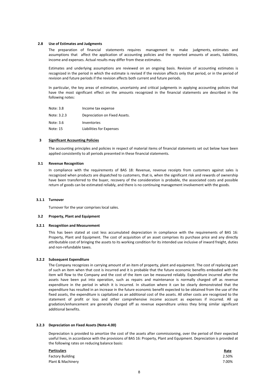# **2.8 Use of Estimates and Judgments**

The preparation of financial statements requires management to make judgments, estimates and assumptions that affect the application of accounting policies and the reported amounts of assets, liabilities, income and expenses. Actual results may differ from these estimates.

Estimates and underlying assumptions are reviewed on an ongoing basis. Revision of accounting estimates is recognized in the period in which the estimate is revised if the revision affects only that period, or in the period of revision and future periods if the revision affects both current and future periods.

In particular, the key areas of estimation, uncertainty and critical judgments in applying accounting policies that have the most significant effect on the amounts recognized in the financial statements are described in the following notes:

| Note: 3.8   | Income tax expense            |
|-------------|-------------------------------|
| Note: 3.2.3 | Depreciation on Fixed Assets. |
| Note: 3.6   | Inventories                   |
| Note: 15    | Liabilities for Expenses      |

# **3 Significant Accounting Policies**

The accounting principles and policies in respect of material items of financial statements set out below have been applied consistently to all periods presented in these financial statements.

# **3.1 Revenue Recognition**

In compliance with the requirements of BAS 18: Revenue, revenue receipts from customers against sales is recognized when products are dispatched to customers, that is, when the significant risk and rewards of ownership have been transferred to the buyer, recovery of the consideration is probable, the associated costs and possible return of goods can be estimated reliably, and there is no continuing management involvement with the goods.

# **3.1.1 Turnover**

Turnover for the year comprises local sales.

# **3.2 Property, Plant and Equipment**

# **3.2.1 Recognition and Measurement**

This has been stated at cost less accumulated depreciation in compliance with the requirements of BAS 16: Property, Plant and Equipment. The cost of acquisition of an asset comprises its purchase price and any directly attributable cost of bringing the assets to its working condition for its intended use inclusive of inward freight, duties and non-refundable taxes.

# **3.2.2 Subsequent Expenditure**

The Company recognizes in carrying amount of an item of property, plant and equipment. The cost of replacing part of such an item when that cost is incurred and it is probable that the future economic benefits embodied with the item will flow to the Company and the cost of the item can be measured reliably. Expenditure incurred after the assets have been put into operation, such as repairs and maintenance is normally charged off as revenue expenditure in the period in which it is incurred. In situation where it can be clearly demonstrated that the expenditure has resulted in an increase in the future economic benefit expected to be obtained from the use of the fixed assets, the expenditure is capitalized as an additional cost of the assets. All other costs are recognized to the statement of profit or loss and other comprehensive income account as expenses if incurred. All up gradation/enhancement are generally charged off as revenue expenditure unless they bring similar significant additional benefits.

# **3.2.3 Depreciation on Fixed Assets (Note-4.00)**

Depreciation is provided to amortize the cost of the assets after commissioning, over the period of their expected useful lives, in accordance with the provisions of BAS 16: Property, Plant and Equipment. Depreciation is provided at the following rates on reducing balance basis:

| <b>Particulars</b>      | <b>Rate</b> |
|-------------------------|-------------|
| <b>Factory Building</b> | 2.50%       |
| Plant & Machinery       | 7.00%       |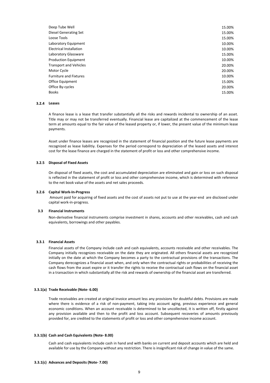| Deep Tube Well                 | 15.00% |
|--------------------------------|--------|
| Diesel Generating Set          | 15.00% |
| Loose Tools                    | 15.00% |
| Laboratory Equipment           | 10.00% |
| <b>Electrical Installation</b> | 10.00% |
| Laboratory Glassware           | 15.00% |
| <b>Production Equipment</b>    | 10.00% |
| <b>Transport and Vehicles</b>  | 20.00% |
| Motor Cycle                    | 20.00% |
| <b>Furniture and Fixtures</b>  | 10.00% |
| Office Equipment               | 15.00% |
| Office By-cycles               | 20.00% |
| <b>Books</b>                   | 15.00% |
|                                |        |

# **3.2.4 Leases**

A finance lease is a lease that transfer substantially all the risks and rewards incidental to ownership of an asset. Title may or may not be transferred eventually. Financial lease are capitalized at the commencement of the lease term at amounts equal to the fair value of the leased property or, if lower, the present value of the minimum lease payments.

Asset under finance leases are recognized in the statement of financial position and the future lease payments are recognized as lease liabilitiy. Expenses for the period correspond to depreciation of the leased assets and interest cost for the lease finance are charged in the statement of profit or loss and other comprehensive income.

# **3.2.5 Disposal of Fixed Assets**

On disposal of fixed assets, the cost and accumulated depreciation are eliminated and gain or loss on such disposal is reflected in the statement of profit or loss and other comprehensive income, which is determined with reference to the net book value of the assets and net sales proceeds.

# **3.2.6 Capital Work-In-Progress**

Amount paid for acquiring of fixed assets and the cost of assets not put to use at the year-end are disclosed under capital work-in-progress.

# **3.3 Financial Instruments**

Non-derivative financial instruments comprise investment in shares, accounts and other receivables, cash and cash equivalents, borrowings and other payables.

# **3.3.1 Financial Assets**

Financial assets of the Company include cash and cash equivalents, accounts receivable and other receivables. The Company initially recognizes receivable on the date they are originated. All others financial assets are recognized initially on the date at which the Company becomes a party to the contractual provisions of the transactions. The Company derecognizes a financial asset when, and only when the contractual rights or probabilities of receiving the cash flows from the asset expire or it transfer the rights to receive the contractual cash flows on the financial asset in a transaction in which substantially all the risk and rewards of ownership of the financial asset are transferred.

#### **3.3.1(a) Trade Receivable (Note- 6.00)**

Trade receivables are created at original invoice amount less any provisions for doubtful debts. Provisions are made where there is evidence of a risk of non-payment, taking into account aging, previous experience and general economic conditions. When an account receivable is determined to be uncollected, it is written off, firstly against any provision available and then to the profit and loss account. Subsequent recoveries of amounts previously provided for, are credited to the statements of profit or loss and other comprehensive income account.

#### **3.3.1(b) Cash and Cash Equivalents (Note- 8.00)**

Cash and cash equivalents include cash in hand and with banks on current and deposit accounts which are held and available for use by the Company without any restriction. There is insignificant risk of change in value of the same.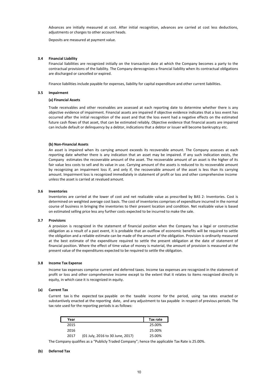Advances are initially measured at cost. After initial recognition, advances are carried at cost less deductions, adjustments or charges to other account heads.

Deposits are measured at payment value.

# **3.4 Financial Liability**

Financial liabilities are recognized initially on the transaction date at which the Company becomes a party to the contractual provisions of the liability. The Company derecognizes a financial liability when its contractual obligations are discharged or cancelled or expired.

Finance liabilities include payable for expenses, liability for capital expenditure and other current liabilities.

#### **3.5 Impairment**

### **(a) Financial Assets**

Trade receivables and other receivables are assessed at each reporting date to determine whether there is any objective evidence of impairment. Financial assets are impaired if objective evidence indicates that a loss event has occurred after the initial recognition of the asset and that the loss event had a negative effects on the estimated future cash flows of that asset, that can be estimated reliably. Objective evidence that financial assets are impaired can include default or delinquency by a debtor, indications that a debtor or issuer will become bankruptcy etc.

# **(b) Non-Financial Assets**

An asset is impaired when its carrying amount exceeds its recoverable amount. The Company assesses at each reporting date whether there is any indication that an asset may be impaired. If any such indication exists, the Company estimates the recoverable amount of the asset. The recoverable amount of an asset is the higher of its fair value less costs to sell and its value in use. Carrying amount of the assets is reduced to its recoverable amount by recognizing an impairment loss if, and only if, the recoverable amount of the asset is less than its carrying amount. Impairment loss is recognized immediately in statement of profit or loss and other comprehensive income unless the asset is carried at revalued amount.

#### **3.6 Inventories**

Inventories are carried at the lower of cost and net realizable value as prescribed by BAS 2: Inventories. Cost is determined on weighted average cost basis. The cost of inventories comprises of expenditure incurred in the normal course of business in bringing the inventories to their present location and condition. Net realizable value is based on estimated selling price less any further costs expected to be incurred to make the sale.

#### **3.7 Provisions**

A provision is recognized in the statement of financial position when the Company has a legal or constructive obligation as a result of a past event, it is probable that an outflow of economic benefits will be required to settle the obligation and a reliable estimate can be made of the amount of the obligation. Provision is ordinarily measured at the best estimate of the expenditure required to settle the present obligation at the date of statement of financial position. Where the effect of time value of money is material, the amount of provision is measured at the present value of the expenditures expected to be required to settle the obligation.

# **3.8 Income Tax Expense**

Income tax expenses comprise current and deferred taxes. Income tax expenses are recognized in the statement of profit or loss and other comprehensive income except to the extent that it relates to items recognized directly in equity, in which case it is recognized in equity.

# **(a) Current Tax**

Current tax is the expected tax payable on the taxable income for the period, using tax rates enacted or substantively enacted at the reporting date, and any adjustment to tax payable in respect of previous periods. The tax rate used for the reporting periods is as follows:

| Year |                                  | Tax rate |
|------|----------------------------------|----------|
| 2015 |                                  | 25.00%   |
| 2016 |                                  | 25.00%   |
| 2017 | (01 July, 2016 to 30 June, 2017) | 25.00%   |

The Company qualifies as a "Publicly Traded Company"; hence the applicable Tax Rate is 25.00%.

# **(b) Deferred Tax**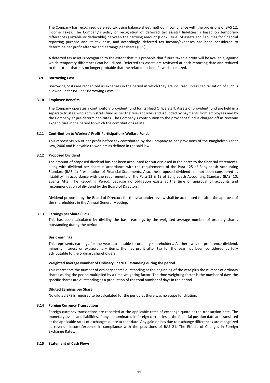The Company has recognized deferred tax using balance sheet method in compliance with the provisions of BAS 12: Income Taxes. The Company's policy of recognition of deferred tax assets/ liabilities is based on temporary differences (Taxable or deductible) between the carrying amount (Book value) of assets and liabilities for financial reporting purpose and its tax base, and accordingly, deferred tax income/expenses has been considered to determine net profit after tax and earnings per shares (EPS).

A deferred tax asset is recognized to the extent that it is probable that future taxable profit will be available, against which temporary differences can be utilized. Deferred tax assets are reviewed at each reporting date and reduced to the extent that it is no longer probable that the related tax benefit will be realized.

# **3.9 Borrowing Cost**

Borrowing costs are recognized as expenses in the period in which they are incurred unless capitalization of such is allowed under BAS 23 : Borrowing Costs.

# **3.10 Employee Benefits**

The Company operates a contributory provident fund for its Head Office Staff. Assets of provident fund are held in a separate trustee who administrats fund as per the relevant rules and is funded by payments from employees and by the Company at pre-determined rates. The Company's contribution to the provident fund is charged off as revenue expenditure in the period to which the contributions relate.

# **3.11 Contribution to Workers' Profit Participation/ Welfare Funds**

This represents 5% of net profit before tax contributed by the Company as per provisions of the Bangladesh Labor Law, 2006 and is payable to workers as defined in the said law.

# **3.12 Proposed Dividend**

The amount of proposed dividend has not been accounted for but disclosed in the notes to the financial statements along with dividend per share in accordance with the requirements of the Para 125 of Bangladesh Accounting Standard (BAS) 1: Presentation of Financial Statements. Also, the proposed dividend has not been considered as "Liability" in accordance with the requirements of the Para 12 & 13 of Bangladesh Accounting Standard (BAS) 10: Events After The Reporting Period, because no obligation exists at the time of approval of accounts and recommendation of dividend by the Board of Directors.

Dividend proposed by the Board of Directors for the year under review shall be accounted for after the approval of the shareholders in the Annual General Meeting.

# **3.13 Earnings per Share (EPS)**

This has been calculated by dividing the basic earnings by the weighted average number of ordinary shares outstanding during the period.

# **Basic earnings**

This represents earnings for the year attributable to ordinary shareholders. As there was no preference dividend, minority interest or extraordinary items, the net profit after tax for the year has been considered as fully attributable to the ordinary shareholders,

# **Weighted Average Number of Ordinary Share Outstanding during the period**

This represents the number of ordinary shares outstanding at the beginning of the year plus the number of ordinary shares during the period multiplied by a time-weighting factor. The time-weighting factor is the number of days the specific shares are outstanding as a production of the total number of days in the period.

# **Diluted Earnings per Share**

No diluted EPS is required to be calculated for the period as there was no scope for dilution.

# **3.14 Foreign Currency Transactions**

Foreign currency transactions are recorded at the applicable rates of exchange quote at the transaction date. The monetary assets and liabilities, if any, denominated in foreign currencies at the financial position date are translated at the applicable rates of exchanges quote at that date. Any gain or loss due to exchange differences are recognized as revenue income/expense in compliance with the provisions of BAS 21: The Effects of Changes in Foreign Exchange Rates.

# **3.15 Statement of Cash Flows**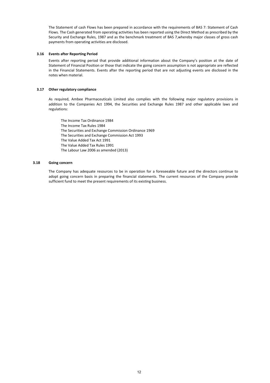The Statement of cash Flows has been prepared in accordance with the requirements of BAS 7: Statement of Cash Flows. The Cash generated from operating activities has been reported using the Direct Method as prescribed by the Security and Exchange Rules, 1987 and as the benchmark treatment of BAS 7,whereby major classes of gross cash payments from operating activities are disclosed.

# **3.16 Events after Reporting Period**

Events after reporting period that provide additional information about the Company's position at the date of Statement of Financial Position or those that indicate the going concern assumption is not appropriate are reflected in the Financial Statements. Events after the reporting period that are not adjusting events are disclosed in the notes when material.

# **3.17 Other regulatory compliance**

As required, Ambee Pharmaceuticals Limited also complies with the following major regulatory provisions in addition to the Companies Act 1994, the Securities and Exchange Rules 1987 and other applicable laws and regulations:

The Income Tax Ordinance 1984 The Income Tax Rules 1984 The Securities and Exchange Commission Ordinance 1969 The Securities and Exchange Commission Act 1993 The Value Added Tax Act 1991 The Value Added Tax Rules 1991 The Labour Law 2006 as amended (2013)

# **3.18 Going concern**

The Company has adequate resources to be in operation for a foreseeable future and the directors continue to adopt going concern basis in preparing the financial statements. The current resources of the Company provide sufficient fund to meet the present requirements of its existing business.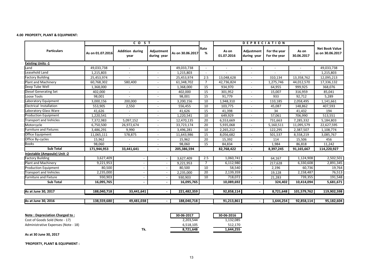# **4.00 PROPERTY, PLANT & EQUIPMENT:**

| As on 01.07.2016<br>49,033,738<br>1,215,803<br>25,453,974 | <b>Addition during</b><br>year         | Adjustment<br>during year | As on 30.06.2017 | Rate<br>%      | As on<br>01.07.2016 | Adjustment<br>during year | For the year<br>For the year | As on<br>30.06.2017 | <b>Net Book Value</b><br>as on 30.06.2017 |
|-----------------------------------------------------------|----------------------------------------|---------------------------|------------------|----------------|---------------------|---------------------------|------------------------------|---------------------|-------------------------------------------|
|                                                           |                                        |                           |                  |                |                     |                           |                              |                     |                                           |
|                                                           |                                        |                           |                  |                |                     |                           |                              |                     |                                           |
|                                                           |                                        |                           | 49,033,738       |                |                     |                           |                              |                     | 49,033,738                                |
|                                                           |                                        |                           | 1,215,803        |                |                     |                           |                              |                     | 1,215,803                                 |
|                                                           |                                        |                           | 25,453,974       | 2.5            | 13,048,628          |                           | 310,134                      | 13,358,762          | 12,095,213                                |
|                                                           | 580,400                                |                           | 61,348,702       | $\overline{7}$ | 42,736,824          |                           | 1,275,746                    | 44,012,570          | 17,336,132                                |
| 1,368,000                                                 | $\blacksquare$                         |                           | 1,368,000        | 15             | 934,970             |                           | 64,955                       | 999,925             | 368,076                                   |
| 402,000                                                   |                                        |                           | 402,000          | 15             | 301,952             |                           | 15,007                       | 316,959             | 85,041                                    |
| 98,001                                                    |                                        |                           | 98,001           | 15             | 91,779              |                           | 933                          | 92,712              | 5,289                                     |
| 3,000,156                                                 | 200,000                                |                           | 3,200,156        | 10             | 1,948,310           |                           | 110,185                      | 2,058,495           | 1,141,661                                 |
| 553,905                                                   | 2,550                                  |                           | 556,455          | 10             | 103,775             |                           | 45,087                       | 148,862             | 407,593                                   |
| 41,626                                                    |                                        |                           | 41,626           | 15             | 41,398              |                           | 34                           | 41,432              | 194                                       |
| 1,220,541                                                 | $\blacksquare$                         | $\overline{\phantom{a}}$  | 1,220,541        | 10             | 649,929             | $\blacksquare$            | 57,061                       | 706,990             | 513,551                                   |
| 7,372,983                                                 | 5,097,152                              | $\sim$                    | 12,470,135       | 20             | 6,553,669           |                           | 731,663                      | 7,285,332           | 5,184,803                                 |
| 6,750,500                                                 | 26,972,674                             |                           | 33,723,174       | 20             | 5,935,068           |                           | 5,160,511                    | 11,095,579          | 22,627,595                                |
| 3,486,291                                                 | 9,990                                  | $\overline{\phantom{a}}$  | 3,496,281        | 10             | 2,265,212           |                           | 122,295                      | 2,387,507           | 1,108,774                                 |
| 11,065,111                                                | 578,875                                |                           | 11,643,986       | 15             | 8,056,682           |                           | 501,537                      | 8,558,219           | 3,085,767                                 |
| 15,962                                                    |                                        |                           | 15,962           | 20             | 15,392              |                           | 114                          | 15,506              | 456                                       |
| 98,060                                                    |                                        |                           | 98,060           | 15             | 84,834              |                           | 1,984                        | 86,818              | 11,242                                    |
| 171,944,953                                               | 33,441,641                             |                           | 205,386,594      |                | 82,768,422          |                           | 8,397,245                    | 91,165,667          | 114,220,927                               |
|                                                           |                                        |                           |                  |                |                     |                           |                              |                     |                                           |
| 3,627,409                                                 |                                        |                           | 3,627,409        | 2.5            | 1,060,741           |                           | 64,167                       | 1,124,908           | 2,502,501                                 |
|                                                           |                                        |                           | 9,221,953        | $\overline{7}$ | 6,112,980           |                           | 217,628                      | 6,330,608           | 2,891,345                                 |
| 80,500                                                    |                                        |                           | 80,500           | 10             | 58,540              |                           | 2,196                        | 60,736              | 19,764                                    |
| 2,235,000                                                 |                                        |                           | 2,235,000        | 20             | 2,139,359           |                           | 19,128                       | 2,158,487           | 76,513                                    |
| 930,903                                                   |                                        |                           | 930.903          | 10             | 718,072             |                           | 21,283                       | 739,355             | 191,548                                   |
| 16,095,765                                                |                                        |                           | 16,095,765       |                | 10,089,692          |                           | 324,402                      | 10,414,094          | 5,681,671                                 |
| 188,040,718                                               | 33,441,641                             |                           | 221,482,359      |                | 92,858,114          |                           | 8,721,648                    | 101,579,762         | 119,902,598                               |
|                                                           |                                        |                           |                  |                |                     |                           |                              |                     | 95,182,604                                |
|                                                           | 60,768,302<br>9,221,953<br>138,559,680 | 49,481,038                |                  | 188,040,718    |                     | 91,213,861                |                              | 1,644,254           | 92,858,114                                |

| Note: Depreciation Charged to:      |     | 30-06-2017 | 30-06-2016 |
|-------------------------------------|-----|------------|------------|
| Cost of Goods Sold (Note - 17)      |     | 2.203.544  | 1,132,085  |
| Administrative Expenses (Note - 18) |     | 6,518,105  | 512.170    |
|                                     | Tk. | 8.721.648  | 1,644,255  |

**As at 30 June 30, 2017**

**'PROPERTY, PLANT & EQUIPMENT :**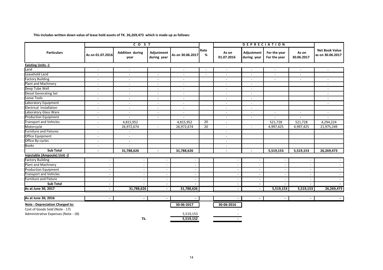**This includes written down value of lease hold assets of TK. 26,269,473 which is made up as follows:**

|                                       |                          | CO <sub>S</sub> T              |                           |                          |                | <b>DEPRECIATION</b>      |                           |                              |                     |                                           |
|---------------------------------------|--------------------------|--------------------------------|---------------------------|--------------------------|----------------|--------------------------|---------------------------|------------------------------|---------------------|-------------------------------------------|
| <b>Particulars</b>                    | As on 01.07.2016         | <b>Addition during</b><br>year | Adjustment<br>during year | As on 30.06.2017         | Rate<br>%      | As on<br>01.07.2016      | Adjustment<br>during year | For the year<br>For the year | As on<br>30.06.2017 | <b>Net Book Value</b><br>as on 30.06.2017 |
| <b>Existing Units -1</b>              |                          |                                |                           |                          |                |                          |                           |                              |                     |                                           |
| Land                                  | $\overline{\phantom{a}}$ |                                |                           | $\overline{\phantom{a}}$ | $\overline{a}$ | $\overline{\phantom{a}}$ |                           |                              |                     |                                           |
| Leasehold Land                        | $\overline{\phantom{a}}$ |                                |                           | $\sim$                   |                | $\blacksquare$           |                           |                              |                     |                                           |
| <b>Factory Building</b>               | $\overline{\phantom{a}}$ |                                |                           | $\overline{\phantom{a}}$ |                | $\overline{\phantom{a}}$ |                           |                              |                     |                                           |
| Plant and Machinery                   | $\blacksquare$           | $\overline{\phantom{a}}$       | $\sim$                    | $\overline{\phantom{a}}$ |                | $\blacksquare$           | $\sim$                    |                              |                     | $\overline{a}$                            |
| Deep Tube Well                        | $\blacksquare$           | $\sim$                         | $\overline{\phantom{a}}$  | $\overline{\phantom{a}}$ |                | $\blacksquare$           | $\sim$                    |                              |                     | $\overline{a}$                            |
| <b>Diesel Generating Set</b>          | $\overline{a}$           | $\overline{\phantom{a}}$       | $\sim$                    | $\sim$                   |                | $\overline{a}$           | $\sim$                    |                              |                     | $\overline{\phantom{a}}$                  |
| Loose Tools                           | $\blacksquare$           | $\overline{\phantom{a}}$       | $\blacksquare$            | $\sim$                   |                | $\blacksquare$           | $\sim$                    |                              |                     | $\overline{\phantom{a}}$                  |
| Laboratory Equipment                  | $\overline{a}$           |                                | $\sim$                    | $\overline{\phantom{a}}$ |                | $\overline{a}$           | $\sim$                    |                              |                     | $\overline{a}$                            |
| Electrical Installation               | $\blacksquare$           | $\overline{\phantom{a}}$       | $\blacksquare$            | $\blacksquare$           |                | $\blacksquare$           | $\overline{\phantom{a}}$  |                              |                     |                                           |
| Laboratory Glass Ware                 | $\blacksquare$           | $\overline{\phantom{a}}$       | $\blacksquare$            | $\sim$                   |                | $\blacksquare$           | $\overline{a}$            | $\sim$                       | $\sim$              | $\overline{\phantom{a}}$                  |
| Production Equipment                  | $\overline{\phantom{a}}$ | $\overline{\phantom{a}}$       | $\blacksquare$            | $\blacksquare$           |                | $\blacksquare$           | $\overline{\phantom{a}}$  |                              |                     |                                           |
| <b>Transport and Vehicles</b>         | $\overline{\phantom{a}}$ | 4,815,952                      |                           | 4,815,952                | 20             | $\overline{\phantom{a}}$ |                           | 521,728                      | 521,728             | 4,294,224                                 |
| Motorcycle                            | $\blacksquare$           | 26,972,674                     | $\sim$                    | 26,972,674               | 20             | $\sim$                   | $\sim$                    | 4,997,425                    | 4,997,425           | 21,975,249                                |
| <b>Furniture and Fixtures</b>         | $\sim$                   | $\overline{\phantom{a}}$       |                           |                          |                | $\overline{\phantom{a}}$ |                           |                              |                     |                                           |
| <b>Office Equipment</b>               | $\sim$                   | $\sim$                         |                           |                          |                | $\sim$                   |                           |                              |                     |                                           |
| Office By-cycles                      | $\overline{\phantom{a}}$ | $\overline{\phantom{a}}$       |                           |                          |                | $\overline{\phantom{a}}$ |                           |                              |                     |                                           |
| <b>Books</b>                          | $\overline{\phantom{a}}$ | $\overline{\phantom{a}}$       |                           |                          |                | $\overline{\phantom{a}}$ |                           |                              |                     |                                           |
| <b>Sub Total</b>                      | $\blacksquare$           | 31,788,626                     | $\blacksquare$            | 31,788,626               |                | $\blacksquare$           |                           | 5,519,153                    | 5,519,153           | 26,269,473                                |
| Injectable (Ampoule) Unit -2          |                          |                                |                           |                          |                |                          |                           |                              |                     |                                           |
| <b>Factory Building</b>               |                          |                                |                           |                          |                |                          |                           |                              |                     |                                           |
| Plant and Machinery                   |                          |                                | $\overline{\phantom{a}}$  |                          |                | $\overline{\phantom{a}}$ |                           | $\overline{a}$               |                     |                                           |
| <b>Production Equipment</b>           |                          |                                | $\sim$                    |                          |                | $\overline{a}$           |                           |                              |                     |                                           |
| <b>Transport and Vehicles</b>         |                          |                                | $\overline{\phantom{a}}$  |                          |                | $\blacksquare$           |                           |                              |                     |                                           |
| <b>Furniture and Fixture</b>          |                          |                                | $\overline{\phantom{a}}$  |                          |                | $\blacksquare$           |                           |                              |                     |                                           |
| <b>Sub Total</b>                      |                          |                                | $\blacksquare$            |                          |                | $\overline{\phantom{0}}$ |                           |                              |                     |                                           |
| As at June 30, 2017                   |                          | 31,788,626                     | $\blacksquare$            | 31,788,626               |                | $\blacksquare$           |                           | 5,519,153                    | 5,519,153           | 26,269,473                                |
|                                       |                          |                                |                           |                          |                |                          |                           |                              |                     |                                           |
| As at June 30, 2016                   |                          | $\overline{\phantom{0}}$       |                           |                          |                |                          |                           |                              |                     |                                           |
| <b>Note: Depreciation Charged to:</b> |                          |                                |                           | 30-06-2017               |                | 30-06-2016               |                           |                              |                     |                                           |
| Cost of Goods Sold (Note - 17)        |                          |                                |                           |                          |                |                          |                           |                              |                     |                                           |
| Administrative Expenses (Note - 18)   |                          |                                |                           | 5,519,153                |                |                          |                           |                              |                     |                                           |
|                                       |                          | Tk.                            |                           | 5,519,152                |                |                          |                           |                              |                     |                                           |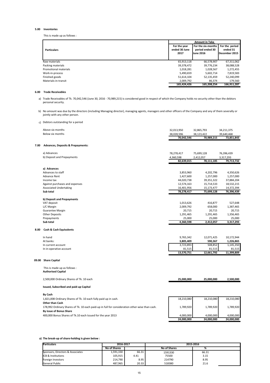#### **5.00 Inventories**

This is made up as follows :

|                       | <b>Amount in Taka</b>                 |                                                           |                                             |
|-----------------------|---------------------------------------|-----------------------------------------------------------|---------------------------------------------|
| <b>Particulars</b>    | For the year<br>ended 30 June<br>2017 | For the six-months<br>period ended 30<br><b>June 2016</b> | For the period<br>ended 31<br>December 2015 |
| Raw materials         | 65,913,118                            | 66,578,907                                                | 67,311,062                                  |
| Packing materials     | 39,378,472                            | 39,776,234                                                | 38,088,528                                  |
| Promotional materials | 1.018.281                             | 1,028,567                                                 | 1,272,455                                   |
| Work-in-process       | 5,490,659                             | 5,602,714                                                 | 7,819,583                                   |
| Finished goods        | 51,614,104                            | 52,135,459                                                | 52,240,099                                  |
| Materials-in-transit  | 2,009,792                             | 86.374                                                    | 179.560                                     |
|                       | 165.424.426                           | 165.208.254                                               | 166,911,287                                 |

# **6.00 Trade Receivables**

a) Trade Receivables of Tk. 70,042,546 (June 30, 2016 - 70,989,215) is considered good in respect of which the Company holds no security other than the debtors personal security.

 b) No amount was due by the directors (including Managing director), managing agents, managers and other officers of the Company and any of them severally or jointly with any other person.

## c) Debtors outstanding for a period

|       | Above six months                                                | 32,013,950 | 32,865,793 | 34,211,375 |
|-------|-----------------------------------------------------------------|------------|------------|------------|
|       | Below six months                                                | 38,028,596 | 38,123,422 | 39,640,468 |
|       |                                                                 | 70,042,546 | 70,989,215 | 73,851,843 |
| 7.00  | <b>Advances, Deposits &amp; Prepayments:</b>                    |            |            |            |
|       | a) Advances                                                     | 78,278,417 | 75,699,128 | 76,396,439 |
|       | b) Deposit and Prepayments                                      | 4,360,598  | 2,412,057  | 3,317,293  |
|       |                                                                 | 82,639,015 | 78,111,185 | 79,713,732 |
|       | a) Advances                                                     |            |            |            |
|       | Advances to staff                                               | 3,853,960  | 4,202,796  | 4,350,626  |
|       | <b>Advance Rent</b>                                             | 1,427,600  | 1,257,000  | 1,257,000  |
|       | Income tax                                                      | 44,020,738 | 39,351,322 | 37,884,204 |
|       | Against purchases and expenses                                  | 12,574,163 | 15,714,533 | 18,532,215 |
|       | <b>Associated Undertaking</b>                                   | 16,401,956 | 15,173,477 | 14,372,394 |
|       | Sub total                                                       | 78,278,417 | 75,699,128 | 76,396,439 |
|       |                                                                 |            |            |            |
|       | b) Deposit and Prepayments                                      |            |            |            |
|       | VAT deposit                                                     | 1,013,626  | 416,877    | 527,648    |
|       | L/C Margin                                                      | 2,009,792  | 658,000    | 1,387,465  |
|       | Guarantee Margin                                                | 20,715     | 20,715     | 20,715     |
|       | <b>Other Deposits</b>                                           | 1,291,465  | 1,291,465  | 1,356,465  |
|       | Prepayments                                                     | 25,000     | 25,000     | 25,000     |
|       | Sub total                                                       | 4,360,598  | 2,412,057  | 3,317,293  |
| 8.00  | <b>Cash &amp; Cash Equivalents</b>                              |            |            |            |
|       | In hand                                                         | 9,765,342  | 12,071,425 | 10,172,944 |
|       | At banks:                                                       | 3,805,409  | 590,367    | 1,226,865  |
|       | In current account                                              | 3,723,893  | 508,852    | 1,145,350  |
|       | In in-operative account                                         | 81,515     | 81,515     | 81,515     |
|       |                                                                 | 13,570,751 | 12,661,792 | 11,399,809 |
| 09.00 | <b>Share Capital</b>                                            |            |            |            |
|       |                                                                 |            |            |            |
|       | This is made up as follows :                                    |            |            |            |
|       | <b>Authorised Capital</b>                                       |            |            |            |
|       | 2,500,000 Ordinary Shares of Tk. 10 each                        | 25,000,000 | 25,000,000 | 2,500,000  |
|       | Issued, Subscribed and paid-up Capital                          |            |            |            |
|       | By Cash                                                         |            |            |            |
|       | 1,821,008 Ordinary Shares of Tk. 10 each fully paid up in cash. | 18,210,080 | 18,210,080 | 18,210,080 |
|       | <b>Other than Cash</b>                                          |            |            |            |
|       | 470.002.01<br><b>CHILLIAN</b> country and the                   | 170000     | 170000     | 700.004    |

178,992 Ordinary Shares of Tk. 10 each paid-up in full for consideration other-wise than cash. 1,789,920 1,789,920 1,789,920 1,789,920 **By issue of Bonus Share** 400,000 Bonus Shares of Tk.10 each Issued for the year 2013 4,000,000 4,000,000 4,000,000  **24,000,000 24,000,000 24,000,000** 

# **a) The break-up of share-holding is given below :**

| <b>Particulars</b>               | 2016-2017           |       | 2015-2016           |       |  |
|----------------------------------|---------------------|-------|---------------------|-------|--|
|                                  | <b>No of Shares</b> |       | <b>No of Shares</b> | %     |  |
| Sponsors, Directors & Associates | 1,591,330           | 66.31 | 1591330             | 66.31 |  |
| <b>ICB &amp; Institutions</b>    | 105,915             | 4.41  | 75500               | 3.15  |  |
| Foreign Investors                | 214.790             | 8.95  | 214790              | 8.95  |  |
| General Public                   | 487.965             | 20.33 | 518380              | 21.6  |  |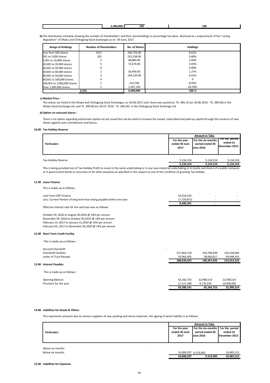| лn. | 100 | . Cu<br>⊥u• |
|-----|-----|-------------|
|     |     |             |

**b)** The distribution schedule showing the number of shareholders' and their shareholdings in percentage has been disclosed as a requirement of the "Listing Regulation" of Dhaka and Chittagong Stock Exchanges as on 30 June, 2017.

| <b>Range of Holdings</b>    | <b>Number of Shareholders</b> | No. of Shares I | <b>Holdings</b> |
|-----------------------------|-------------------------------|-----------------|-----------------|
| Less than 500 shares        | 2337                          | 206,733.00      | 8.61%           |
| 501 to 5,000 shares         | 202                           | 235.238.00      | 9.80%           |
| 5,001 to 10,000 shares      |                               | 48.860.00       | 2.04%           |
| 10,001 to 20,000 shares     |                               | 72.670.00       | 3.03%           |
| 20,001 to 30,000 shares     | 0                             |                 | 0.00%           |
| 30,001 to 40,000 shares     |                               | 30.440.00       | 1.27%           |
| 40,001 to 50,000 shares     |                               | 144.120.00      | 6.01%           |
| 50,001 to 100,000 shares    | 0                             |                 | $\Omega$        |
| 100,001 to 1,000,000 shares |                               | 214.790         | 8.95%           |
| Over 1,000,000 shares       |                               | 1,447,149       | 60.30%          |
|                             | 2.555                         | 2,400,000       | 100.%           |

#### **c) Market Price :**

The shares are listed in the Dhaka and Chittagong Stock Exchanges, on 30.06.2017 each share was quoted at Tk. 406.10 (on 30.06.2016 - Tk. 289.00) in the Dhaka Stock Exchange Ltd. and Tk. 399.00 (on 30.10. 2016 - Tk. 286.00) in the Chittagong Stock Exchange Ltd.

#### **d) Option on unissued shares :**

There is no option regarding authorised capital not yet issued but can be used to increase the issued, subscribed and paid-up capital through the issuance of new shares against cash contributions and bonus.

#### **10.00 Tax-Holiday Reserve**

|                     | <b>Amount in Taka</b>                 |                                                           |                                              |  |
|---------------------|---------------------------------------|-----------------------------------------------------------|----------------------------------------------|--|
| <b>Particulars</b>  | For the year<br>ended 30 June<br>2017 | For the six-months<br>period ended 30<br><b>June 2016</b> | For the period<br>ended 31<br>lDecember 2015 |  |
| Tax-Holiday Reserve | 5,134,154                             | 5,134,154                                                 | 5,134,154                                    |  |
|                     | 5,134,154                             | 5,134,154                                                 | 5,134,154                                    |  |

This is being provided out of Tax-Holiday Profit to invest in the same undertaking or in any new industrial undertaking or in stocks and shares of a public company or in government bonds or securities or for other purposes as specified in this respect as one of the condition of granting Tax Holiday.

#### **11.00 Lease Finance**

This is made up as follows :

| Loan from GSP Finance                                                 | 16.310.163  |  |
|-----------------------------------------------------------------------|-------------|--|
| Less: Current Portion of long term loan being payable within one year | (7.720.872) |  |
|                                                                       | 8.589.291   |  |

Effective interest rate for the said loan was as follows:

October 03 ,2016 to August 30,2019 @ 14% per annum November 09 ,2016 to October 05,2019 @ 14% per annum February 15, 2017 to January 15,2020 @ 14% per annum February 05, 2017 to November 05,2020 @ 14% per annum

#### **12.00 Short Term Credit Facility**

**13.0** 

This is made up as follows :

|                              | 59.288.141  | 42.166.753  | 32.990.514  |
|------------------------------|-------------|-------------|-------------|
| Provision for the year       | 17,121,388  | 9,176,239   | 10,400,000  |
| <b>Opening Balance</b>       | 42,166,753  | 32,990,514  | 22,590,514  |
| This is made up as follows : |             |             |             |
| <b>Interest Payable:</b>     |             |             |             |
|                              | 188,630,623 | 198,367,656 | 214,553,325 |
| Letter of Trust Receipt      | 30,966,405  | 38,660,817  | 94,448,343  |
| <b>Overdraft Facilities</b>  | 157,664,218 | 159,706,839 | 120,104,982 |
| Secured Overdraft<br>$\sim$  |             |             |             |
|                              |             |             |             |

#### **14.00 Liabilities for Goods & Others**

This represents amounts due to various suppliers of raw, packing and stores materials, the ageing of which liability is as follows:

|                    |               | <b>Amount in Taka</b>               |               |
|--------------------|---------------|-------------------------------------|---------------|
|                    | For the year  | For the six-months   For the period |               |
| <b>Particulars</b> | ended 30 June | period ended 30                     | ended 31      |
|                    | 2017          | <b>June 2016</b>                    | December 2015 |
|                    |               |                                     |               |
|                    |               |                                     |               |

Above six months Below six months

| 10.008.297           | 9.153.005 | 10.085.512 |
|----------------------|-----------|------------|
| 10,008,297 9.153.005 |           | 10.085.512 |

<del>59,288,141</del>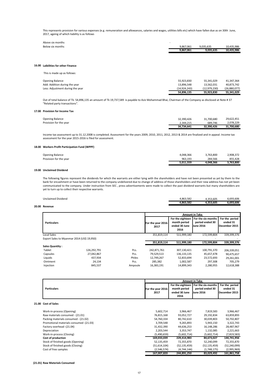This represents provision for various expenses (e.g. remuneration and allowances, salaries and wages, utilities bills etc) which have fallen due as on 30th June, 2017, ageing of which liability is as follows

| Above six months | -         |           |            |
|------------------|-----------|-----------|------------|
| Below six months | 9.867.061 | 9.035.635 | 10.435.986 |
|                  | 9.867.061 | 9.035.635 | 10.435.986 |

## **16.00 Laibilities for other Finance**

This is made up as follows:

|                                  | 54.896.135   | 55.923.830   | 55.341.029   |
|----------------------------------|--------------|--------------|--------------|
| Less: Adjustment during the year | (14.924.243) | (12.979.230) | (26.880.077) |
| Add: Addition during the year    | 13.896.548   | 13.562.031   | 40.873.742   |
| Opening Balance                  | 55.923.830   | 55.341.029   | 41.347.364   |
|                                  |              |              |              |

Out of total balance of Tk. 54,896,135 an amount of Tk 19,737,589 is payable to Aziz Mohammad Bhai, Chairman of the Company as disclosed at Note # 37 "Related party transactions".

#### **17.00 Provision for Income Tax**

| <b>Opening Balance</b> | 32.390.426 | 31.700.680 | 29.622.451 |
|------------------------|------------|------------|------------|
| Provision for the year | 2.344.215  | 689.746    | 2.078.229  |
|                        | 34.734.641 | 32.390.426 | 31.700.680 |

Income tax assessment up to 31.12.2008 is completed. Assessment for the years 2009, 2010, 2011, 2012, 2013 & 2014 are finalized and in appeal. Income tax assessment for the year 2015-2016 is filed for assessment.

# **18.00 Workers Profit Participation Fund (WPPF)**

| <b>Opening Balance</b> | 4.048.366 | 3.763.800 | 2.908.372 |
|------------------------|-----------|-----------|-----------|
| Provision for the year | 963.193   | 284.566   | 855.428   |
|                        | 5.011.559 | 4.048.366 | 3.763.800 |

## **19.00 Unclaimed Dividend**

The following figures represent the dividends for which the warrants are either lying with the shareholders and have not been presented as yet by them to the bank for encashment or have been returned to the company undelivered due to change of address of those shareholders and their new address has not yet been communicated to the company. Under instruction from SEC , press advertisements were made to collect the past dividend warrants but many shareholders are yet to turn up to collect their respective warrants.

|                    |          | .                                                     |               |
|--------------------|----------|-------------------------------------------------------|---------------|
|                    | .863.582 | oro.<br>53.605                                        | .693.606      |
| Unclaimed Dividend | .863.582 | <b>605</b><br>$\mathbf{a} = \mathbf{a}$<br>,,,,,,,,,, | 693.606<br>ֿ∽ |

## **20.00 Revenue**

|                                            |             |         | <b>Amount in Taka</b>      |                                                           |                                                           |                                              |
|--------------------------------------------|-------------|---------|----------------------------|-----------------------------------------------------------|-----------------------------------------------------------|----------------------------------------------|
| <b>Particulars</b>                         |             |         | For the year 2016-<br>2017 | For the eighteen<br>month period<br>ended 30 June<br>2016 | For the six-months<br>period ended 30<br><b>June 2016</b> | For the period<br>ended 31<br>lDecember 2015 |
| <b>Local Sales</b>                         |             |         | 351,819,114                | 511,999,180                                               | 172.599.804                                               | 339,399,376                                  |
| Export Sales to Myanmar 2014 (US\$ 19,950) |             |         |                            |                                                           |                                                           |                                              |
|                                            |             |         | 351,819,114                | 511,999,180                                               | 172,599,804                                               | 339,399,376                                  |
| <b>Sales Quantity:</b>                     |             |         |                            |                                                           |                                                           |                                              |
| Tablet                                     | 126.292.791 | Pcs.    | 242,871,761                | 307,130,421                                               | 100,791,370                                               | 206,339,051                                  |
| Capsules                                   | 27.042.867  | Pcs.    | 79,529,513                 | 136, 133, 135                                             | 45,657,478                                                | 90,475,657                                   |
| Liquids                                    | 437,934     | Philes  | 12,749,267                 | 52,833,694                                                | 23,572,693                                                | 29,261,001                                   |
| Ointment                                   | 24.134      | Pcs.    | 285.382                    | 1.002.587                                                 | 297.308                                                   | 705,279                                      |
| Injection                                  | 845.537     | Ampoule | 16.383.191                 | 14.899.343                                                | 2.280.955                                                 | 12.618.388                                   |

|                                         |                            |                                                           | <b>Amount in Taka</b>                                     |                                              |
|-----------------------------------------|----------------------------|-----------------------------------------------------------|-----------------------------------------------------------|----------------------------------------------|
| <b>Particulars</b>                      | For the year 2016-<br>2017 | For the eighteen<br>month period<br>ended 30 June<br>2016 | For the six-months<br>period ended 30<br><b>June 2016</b> | For the period<br>ended 31<br>lDecember 2015 |
| 21.00 Cost of Sales                     |                            |                                                           |                                                           |                                              |
| Work-in-process (Opening)               | 5,602,714                  | 3,966,467                                                 | 7,819,583                                                 | 3,966,467                                    |
| Raw materials consumed - (21.01)        | 76,815,168                 | 93,052,727                                                | 29,192,834                                                | 63,859,893                                   |
| Packing materials consumed - (21.02)    | 54,760,334                 | 80,742,610                                                | 30,039,803                                                | 50,702,807                                   |
| Promotional materials consumed -(21.03) | 3,709,548                  | 9,265,893                                                 | 5,943,150                                                 | 3,322,743                                    |
| Factory overhead -(21.04)               | 31,432,390                 | 44,636,253                                                | 16,148,286                                                | 28,487,967                                   |
| Depreciation                            | 2,203,544                  | 3,353,747                                                 | 1,132,085                                                 | 2,221,663                                    |
| Work-in-process (Closing)               | (5,490,659)                | (5,602,714)                                               | (5,602,714)                                               | (7,819,583)                                  |
| Cost of production                      | 169,033,039                | 229,414,983                                               | 84,673,027                                                | 144,741,956                                  |
| Stock of finished goods (Opening)       | 52,135,459                 | 72,355,870                                                | 52,240,099                                                | 72,355,870                                   |
| Stock of finished goods (Closing)       | (51,614,104)               | (52, 135, 459)                                            | (52, 135, 459)                                            | (52, 240, 099)                               |
| Cost of free samples                    | (2,546,574)                | (4,744,144)                                               | (1,748,175)                                               | (2,995,969)                                  |
|                                         | 167,007,820                | 244,891,250                                               | 83,029,492                                                | 161,861,758                                  |

#### **(21.01) Raw Materials Consumed**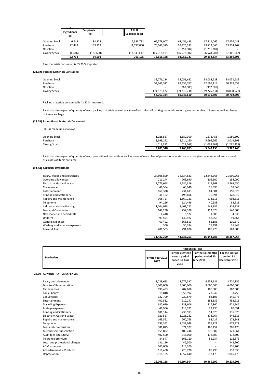|                      | Active<br><b>Ingredients</b><br>$11 - 1$ | <b>Excipients</b><br>(kg) | <b>E.H.G.</b><br>Capsules (pcs) |                |                |                |                |
|----------------------|------------------------------------------|---------------------------|---------------------------------|----------------|----------------|----------------|----------------|
|                      | 15.T                                     |                           |                                 |                |                |                |                |
| Opening Stock        | 6.745                                    | 88,378                    | 2,333,792                       | 66,578,907     | 67,456,488     | 67,311,062     | 67,456,488     |
| Purchase             | 22,439                                   | 153,753                   | 11,777,000                      | 76,149,379     | 93,426,533     | 29,712,066     | 63,714,467     |
| Obsolete             |                                          |                           |                                 | $\sim$         | (1,251,387)    | (1, 251, 387)  |                |
| <b>Closing Stock</b> | (6, 446)                                 | (187, 630)                | (13, 349, 617)                  | (65, 913, 118) | (66, 578, 907) | (66, 578, 907) | (67, 311, 062) |
|                      | 22,738                                   | 54,501                    | 761,175                         | 76,815,168     | 93,052,727     | 29,192,834     | 63,859,893     |

Raw materials consumed is 93.70 % imported.

# **(21.02) Packing Materials Consumed**

| 54,760,334               | 80.742.610     | 30.039.803   | 50.702.807   |
|--------------------------|----------------|--------------|--------------|
| (39.378.472)             | (39, 776, 234) | (39.776.234) | (38,088,528) |
| $\overline{\phantom{0}}$ | (967.605)      | (967, 605)   |              |
| 54,362,572               | 83,434,767     | 32,695,114   | 50,739,653   |
| 39,776,234               | 38,051,682     | 38,088,528   | 38,051,682   |
|                          |                |              |              |
|                          |                |              |              |

Packing materials consumed is 42.22 % imported.

Particulars in respect of quantity of each packing materials as well as value of each class of packing materials are not given as number of items as well as classes of items are large.

## **(21.03) Promotional Materials Consumed**

This is made up as follows :

|                      | 3.709.548   | 9.265.893   | 5,943,150   | 3.322.743     |
|----------------------|-------------|-------------|-------------|---------------|
| <b>Closing Stock</b> | (1.018.281) | (1,028,567) | (1,028,567) | (1, 272, 455) |
| Purchase             | 3.699.262   | 8.714.160   | 5.699.262   | 3.014.898     |
| Opening Stock        | 1.028.567   | 1.580.300   | 1.272.455   | 1.580.300     |
|                      |             |             |             |               |

Particulars in respect of quantity of each promotional materials as well as value of each class of promotional materials are not given as number of items as well as classes of items are large.

# **(21.04) FACTORY OVERHEAD**

|                              | 31,432,390 | 44,636,253 | 16.148.286 | 28,487,967 |
|------------------------------|------------|------------|------------|------------|
|                              |            |            |            |            |
| Power & Fuel                 | 201,503    | 291,876    | 108,276    | 183,600    |
| Washing and laundry expenses | 300        | 50,334     | 18,491     | 31,843     |
| <b>General Expenses</b>      | 69,492     | 166,553    | 56,183     | 110,370    |
| Uniform                      | 99,591     | 133,922    | 42,358     | 91,564     |
| Newspaper and periodicals    | 4,448      | 6,522      | 1,986      | 4,536      |
| <b>Fees and Commissions</b>  | 148,290    | 252,378    | 112,378    | 140,000    |
| Indirect materials-Packing   | 1,104,028  | 1,463,222  | 548,885    | 914,337    |
| Telephone                    | 94,226     | 124,496    | 40,583     | 83,913     |
| Repairs and maintenance      | 965,727    | 1,567,131  | 573,316    | 993,815    |
| Printing and Stationery      | 41,162     | 198,606    | 70,594     | 128,012    |
| Entertainment                | 160,328    | 234,633    | 84,004     | 150,629    |
| Conveyance                   | 46,504     | 63,940     | 25,395     | 38,545     |
| Electricity, Gas and Water   | 3,776,648  | 5,284,319  | 1,515,869  | 3,768,450  |
| Overtime allowances          | 211,244    | 263,690    | 105,600    | 158,090    |
| Salary, wages and allowances | 24,508,899 | 34,534,631 | 12,844,368 | 21,690,263 |
|                              |            |            |            |            |

| <b>Particulars</b> | <b>Amount in Taka</b> |                       |                                                                           |               |
|--------------------|-----------------------|-----------------------|---------------------------------------------------------------------------|---------------|
|                    | For the year 2016-    | month period          | For the eighteen   For the six-months   For the period<br>period ended 30 | ended 31      |
|                    | 2017                  | ended 30 June<br>2016 | <b>June 2016</b>                                                          | December 2015 |

# **22.00 ADMINISTRATIVE EXPENSES**

| 26,205,128 | 30,694,504 | 10,465,299 | 20,229,205 |
|------------|------------|------------|------------|
|            |            |            |            |
| 6,518,105  | 1,557,640  |            | 1,045,470  |
| 116,450    | 223,720    | 85,790     | 137,930    |
| 105,000    | 116,200    |            | 116,200    |
| 181,126    | 442,500    |            | 442,500    |
| 84,547     | 168,110    | 55,234     | 112,876    |
| 402,500    | 345,000    | 172,500    | 172,500    |
| 155,882    | 400,246    | 278,882    | 121,364    |
| 381,075    | 374,927    | 169,452    | 205,475    |
| 796,352    | 1,033,048  | 355,721    | 677,327    |
| 163,561    | 260,768    | 88,427     | 172,341    |
| 920,527    | 1,025,282  | 378,967    | 646,315    |
| 181,144    | 230,593    | 94,620     | 135,973    |
| 49,966     | 113,521    | 33,430     | 80,091     |
| 682,629    | 938,606    | 316,860    | 621,746    |
| 400,532    | 612,247    | 153,332    | 458,915    |
| 122,799    | 229,879    | 84,103     | 145,776    |
| 18,818     | 56,992     | 23,242     | 33,750     |
| 190,493    | 287,688    | 105,388    | 182,300    |
| 6,000,000  | 9,000,000  | 3,000,000  | 6,000,000  |
| 8,733,623  |            | 4,557,181  | 8,720,356  |
|            |            | 13,277,537 | 512,170    |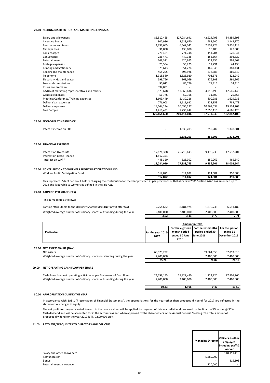# **23.00 SELLING, DISTRIBUTION AND MARKETING EXPENSES**

| Salary and allowances                         | 85,512,455  | 127,284,691 | 42,924,793 | 84,359,898  |
|-----------------------------------------------|-------------|-------------|------------|-------------|
| <b>Incentive Bonus</b>                        | 807,986     | 2,628,670   | 483,500    | 2,145,170   |
| Rent, rates and taxes                         | 4,839,665   | 6,647,341   | 2,831,223  | 3,816,118   |
| Car expenses                                  | 31,000      | 138,000     | 10,400     | 127,600     |
| <b>Bank charges</b>                           | 270,401     | 771,748     | 151,704    | 620,044     |
| Conveyance                                    | 286,471     | 447,386     | 152,564    | 294,822     |
| Entertainment                                 | 248,321     | 420,925     | 122,356    | 298,569     |
| Postage expenses                              | 25,504      | 56,229      | 11,791     | 44,438      |
| Printing and Stationery                       | 329,643     | 551,274     | 169,843    | 381,431     |
| Repairs and maintenance                       | 455,205     | 698,926     | 238,386    | 460,540     |
| Telephone                                     | 1,315,580   | 1,525,920   | 703,671    | 822,249     |
| Electricity, Gas and Water                    | 598,766     | 868,069     | 276,103    | 591,966     |
| Fees and commissions                          | 90,012      | 85,726      | 71,316     | 14,410      |
| Insurance premium                             | 394,081     |             |            |             |
| TA/DA of marketing representatives and others | 8,573,678   | 17,363,636  | 4,718,490  | 12,645,146  |
| General expenses                              | 51,776      | 52,168      | 31,500     | 20,668      |
| Meeting/Conference/Training expenses          | 1,603,449   | 2,430,216   | 800,981    | 1,629,235   |
| Delivery Van expenses                         | 776,003     | 1,111,632   | 322,159    | 789,473     |
| Delivery expenses                             | 18,544,234  | 30,095,237  | 10,961,034 | 19,134,203  |
| Free Sample                                   | 4,410,431   | 7,236,242   | 2,550,116  | 4,686,126   |
|                                               | 129,164,660 | 200,414,036 | 67,531,930 | 132,882,106 |

#### **24.00 NON-OPERATING INCOME**

|       | Interest income on FDR                                   |            | 1,633,203                | 255,202   | 1,378,001  |
|-------|----------------------------------------------------------|------------|--------------------------|-----------|------------|
|       |                                                          |            | 1,633,203                | 255,202   | 1,378,001  |
|       | 25.00 FINANCIAL EXPENSES                                 |            |                          |           |            |
|       | Interest on Overdraft                                    | 17,121,388 | 26,713,443               | 9,176,239 | 17,537,204 |
|       | Interest on Lease Finance                                | 1,517,351  | $\overline{\phantom{a}}$ |           |            |
|       | Interest on WPPF                                         | 445,320    | 625,302                  | 159,962   | 465,340    |
|       |                                                          | 19,084,059 | 27,338,745               | 9,336,201 | 18,002,544 |
| 26.00 | <b>CONTRIBUTION TO WORKERS PROFIT PARTICIPATION FUND</b> |            |                          |           |            |
|       | Workers Profit Participation Fund                        | 517,872    | 514,692                  | 124.604   | 390,088    |
|       |                                                          | 517,872    | 514,692                  | 124,604   | 390,088    |
|       |                                                          |            |                          |           |            |

This represents 5% of net profit before charging the contribution for the year provided as per provisions of theLabor Law 2006 Section 242(1) as amended up to 2013 and is payable to workers as defined in the said Act.

# **27.00 EARNING PER SHARE (EPS)**

This is made up as follows:

|                                                                          | 3.02      | 3.41      | 0.70      | 2.71      |
|--------------------------------------------------------------------------|-----------|-----------|-----------|-----------|
| Weighted average number of Ordinary shares outstanding during the year   | 2.400.000 | 2.400.000 | 2.400.000 | 2.400.000 |
| Earning attributable to the Ordinary Shareholders (Net profit after tax) | 7.254.682 | 8.181.924 | 1.670.735 | 6.511.189 |

|       |                                                                         | <b>Amount in Taka</b>      |                                                           |                                                           |                                             |  |  |
|-------|-------------------------------------------------------------------------|----------------------------|-----------------------------------------------------------|-----------------------------------------------------------|---------------------------------------------|--|--|
|       | <b>Particulars</b>                                                      | For the year 2016-<br>2017 | For the eighteen<br>month period<br>ended 30 June<br>2016 | For the six-months<br>period ended 30<br><b>June 2016</b> | For the period<br>ended 31<br>December 2015 |  |  |
|       | 28.00 NET ASSETS VALUE (NAV)                                            |                            |                                                           |                                                           |                                             |  |  |
|       | Net Assets                                                              | 60,579,232                 |                                                           | 59,564,550                                                | 57,893,815                                  |  |  |
|       | Weighted average number of Ordinary sharesoutstanding during the year   | 2,400,000                  |                                                           | 2,400,000                                                 | 2,400,000                                   |  |  |
|       |                                                                         | 25.24                      |                                                           | 24.82                                                     | 24.12                                       |  |  |
| 29.00 | NET OPERATING CASH FLOW PER SHARE                                       |                            |                                                           |                                                           |                                             |  |  |
|       | Cash flows from net operating activities as per Statement of Cash flows | 24,798,155                 | 28,927,480                                                | 1,122,220                                                 | 27,805,260                                  |  |  |
|       | Weighted average number of Ordinary shares outstanding during the year  | 2,400,000                  | 2,400,000                                                 | 2,400,000                                                 | 2,400,000                                   |  |  |
|       |                                                                         | 10.33                      | 12.06                                                     | 0.47                                                      | 11.59                                       |  |  |

#### **30.00 APPROPRIATION DURING THE YEAR**

In accordance with BAS 1 "Presentation of Financial Statements", the appropriations for the year other than proposed dividend for 2017 are reflected in the statement of changes in equity.

The net profit for the year carried forward in the balance sheet will be applied for payment of this year's dividend proposed by the Board of Directors @ 30% Cash dividend and will be accounted for in the accounts as and when approved by the shareholders in the Annual General Meeting. The total amount of proposed dividend for the year 2017 is Tk. 72,00,000 only.

#### 31.00 **PAYMENT/PERQUISITES TO DIRECTORS AND OFFICERS**

| Salary and other allowance: |
|-----------------------------|
| Remuneration                |
| <b>Bonus</b>                |
| Entertainment allowance     |

|                             | <b>Managing Director</b> | Officers & other<br>employee<br>including staff &<br>worker |
|-----------------------------|--------------------------|-------------------------------------------------------------|
| Salary and other allowances | -                        | 118,151,118                                                 |
| Remuneration                | 5,280,000                |                                                             |
| Bonus                       | -                        | 815,103                                                     |
| Entertainment allowance     | 720,000                  |                                                             |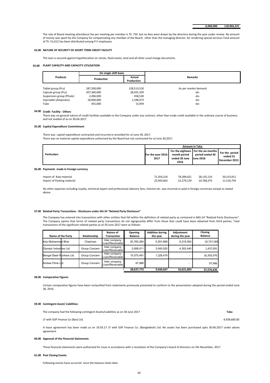The rate of Board meeting attendance fee per meeting per member is Tk. 750 but no fees were drawn by the directors during the year under review. No amount of money was spent by the Company for compensating any member of the Board, other than the managing director, for rendering special services.Total amount of Tk. 51,612 has been distributed among P.F employees.

#### **32.00 NATURE OF SECURITY OF SHORT TERM CREDIT FACILITY**

The loan is secured against hypothecation on stocks, fixed assets, land and all other usual charge documents.

#### **33.00 PLANT CAPACITY AND CAPACITY UTILISATION**

|                           | On single shift basis |             |                      |
|---------------------------|-----------------------|-------------|----------------------|
| <b>Products</b>           | Production            | Actual      | <b>Remarks</b>       |
|                           |                       | Production  |                      |
|                           |                       |             |                      |
| Tablet group (Pcs)        | 187,200,000           | 128,513,510 | As per market demand |
| Capsule group (Pcs)       | 207,360,000           | 28,501,359  | -do-                 |
| Suspension group (Phials) | 2,496,000             | 458.530     | -do-                 |
| Injectable (Ampoules)     | 18,000,000            | 1,348,473   | -do-                 |
| Tube                      | 455.000               | 15,959      | -do-                 |

#### **34.00 Credit Facility - Others**

There was no general nature of credit facilities available to the Company under any contract, other than trade credit available in the ordinary course of business and not availed of as on 30.06.2017.

#### **35.00 Capital Expenditure Commitment**

There was capital expenditure contracted and incurred or provided for at June 30, 2017.

There was no material capital expenditure authorised by the Board but not contracted for at June 30,2017.

|                                         | <b>Amount in Taka</b>                                               |                                                                            |                                             |  |  |
|-----------------------------------------|---------------------------------------------------------------------|----------------------------------------------------------------------------|---------------------------------------------|--|--|
| <b>Particulars</b>                      | month period<br>For the year 2016-<br>ended 30 June<br>2017<br>2016 | For the eighteen For the six-months<br>period ended 30<br><b>June 2016</b> | For the period<br>ended 31<br>December 2015 |  |  |
| 36.00 Payments made in Foreign currency |                                                                     |                                                                            |                                             |  |  |

| Import of Raw material     | 71.354.216 | 78.289.021 | 28.135.110 | 50.153.911 |
|----------------------------|------------|------------|------------|------------|
| Import of Packing material | 22.943.662 | 22.279.129 | 10.768.370 | 11.510.759 |
|                            |            |            |            |            |

No other expenses including royalty, technical expert and professional advisory fees, interest etc. was incurred or paid in foreign currencies except as stated above.

#### **37.00 Related Party Transactions - Disclosure under IAS 24 "Related Party Disclosure"**

The Company has entered into transactions with other entities that fall within the definition of related party as contained in BAS-24 "Related Party Disclosures". The Company opines that terms of related party transactions do not signigicantly differ from those that could have been obtained from third parties. Total transactions of the significant related parties as at 30 June 2017 were as follows:

| Name of the Party         | Relationship  | Nature of<br><b>Transaction</b>            | Opening<br><b>Balance</b> | <b>Addition during</b><br>the year | Adjustment<br>during the year | Closing<br><b>Balance</b> |
|---------------------------|---------------|--------------------------------------------|---------------------------|------------------------------------|-------------------------------|---------------------------|
| Aziz Mohammad Bhai        | Chairman      | Inter company<br>Loan/Receivable <b>II</b> | 20.765.284                | 5.291.668                          | 6.319.363                     | 19,737,589                |
| Olympic Industries Ltd    | Group Concern | Inter company<br>Loan/Receivable <b>II</b> | 2,699,011                 | 3.040.520                          | 4.302.440                     | 1,437,091                 |
| Bengal Steel Workers Ltd. | Group Concern | Inter company<br>Loan/Receivable <b>II</b> | 15,075,491                | 1.228.479                          |                               | 16,303,970                |
| Ambee Flims Ltd.          | Group Concern | Inter company<br>Loan/Receivable <b>II</b> | 97.986                    |                                    |                               | 97.986                    |
|                           |               |                                            | 38,637,772                | 9,560,667                          | 10,621,803                    | 37,576,636                |

#### **38.00 Comparative Figures**

Certain comparative figures have been reclassified from statements previously presented to conform to the presentation adopted during the period ended June 30, 2016.

#### **39.00 Contingent Asset/ Liabilities:**

The company had the following contingent Assets/Liabilities as on 30 June 2017 **Taka**

LF with GSP Finance Co (Ban) Ltd. 4,939,600.00

A lease agreement has been made as on 10.03.17 LF with GSP Finance Co. (Bangladesh) Ltd. No assets has been purchased upto 30.06.2017 under above agreement

#### **40.00 Approval of the Financial Statements**

These financial statements were authorized for issue in accordance with a resolution of the Company's board of directors on 5th November, 2017.

#### **41.00 Post Closing Events**

Following events have occurred since the balance sheet date: